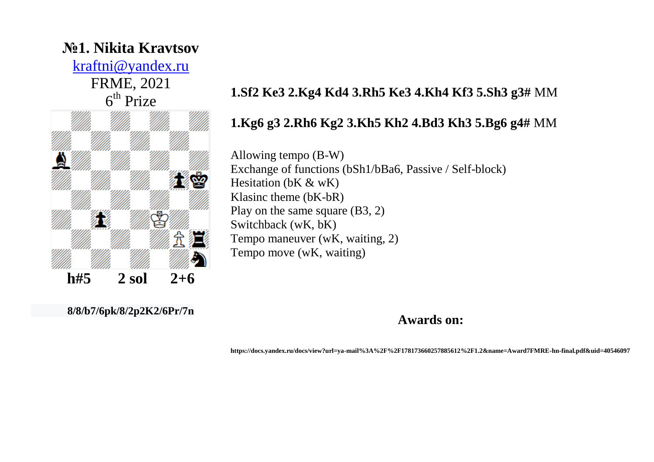# **№1. Nikita Kravtsov**

[kraftni@yandex.ru](mailto:kraftni@yandex.ru)

FRME, 2021 6<sup>th</sup> Prize



# **1.Sf2 Ke3 2.Kg4 Kd4 3.Rh5 Ke3 4.Kh4 Kf3 5.Sh3 g3#** MM

#### **1.Kg6 g3 2.Rh6 Kg2 3.Kh5 Kh2 4.Bd3 Kh3 5.Bg6 g4#** MM

Allowing tempo (B-W) Exchange of functions (bSh1/bBa6, Passive / Self-block) Hesitation (bK & wK) Klasinc theme (bK-bR) Play on the same square (B3, 2) Switchback (wK, bK) Tempo maneuver (wK, waiting, 2) Tempo move (wK, waiting)

**8/8/b7/6pk/8/2p2K2/6Pr/7n**

**Awards on:**

**https://docs.yandex.ru/docs/view?url=ya-mail%3A%2F%2F178173660257885612%2F1.2&name=Award7FMRE-hn-final.pdf&uid=40546097**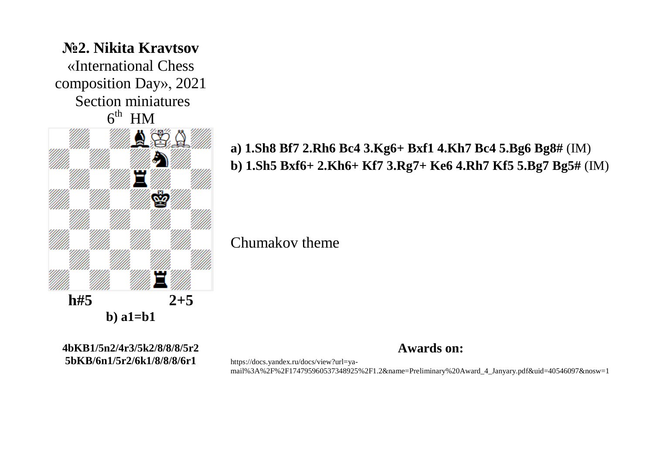

**4bKB1/5n2/4r3/5k2/8/8/8/5r2 5bKB/6n1/5r2/6k1/8/8/8/6r1**

**a) 1.Sh8 Bf7 2.Rh6 Bc4 3.Kg6+ Bxf1 4.Kh7 Bc4 5.Bg6 Bg8#** (IM) **b) 1.Sh5 Bxf6+ 2.Kh6+ Kf7 3.Rg7+ Ke6 4.Rh7 Kf5 5.Bg7 Bg5#** (IM)

Chumakov theme

**Awards on:**

https://docs.yandex.ru/docs/view?url=yamail%3A%2F%2F174795960537348925%2F1.2&name=Preliminary%20Award\_4\_Janyary.pdf&uid=40546097&nosw=1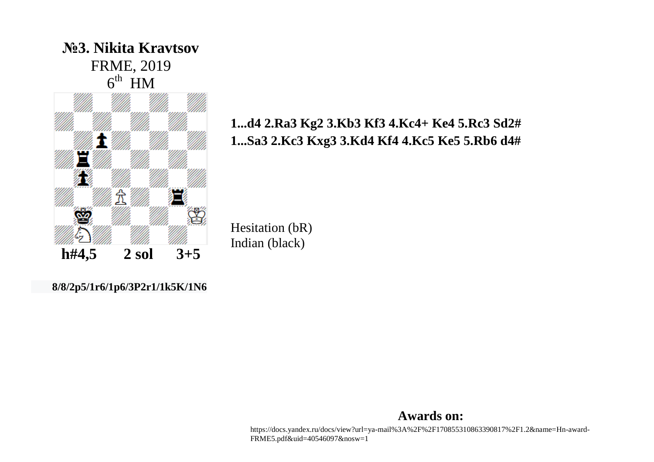

## **1...d4 2.Ra3 Kg2 3.Kb3 Kf3 4.Kc4+ Ke4 5.Rc3 Sd2# 1...Sa3 2.Kc3 Kxg3 3.Kd4 Kf4 4.Kc5 Ke5 5.Rb6 d4#**

Hesitation (bR) Indian (black)

**8/8/2p5/1r6/1p6/3P2r1/1k5K/1N6**

#### **Awards on:**

https://docs.yandex.ru/docs/view?url=ya-mail%3A%2F%2F170855310863390817%2F1.2&name=Hn-award-FRME5.pdf&uid=40546097&nosw=1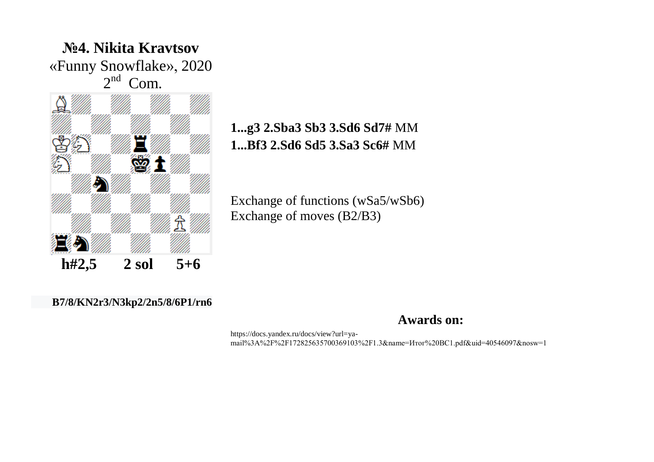

## **1...g3 2.Sba3 Sb3 3.Sd6 Sd7#** MM **1...Bf3 2.Sd6 Sd5 3.Sa3 Sc6#** MM

Exchange of functions (wSa5/wSb6) Exchange of moves (B2/B3)

#### **B7/8/KN2r3/N3kp2/2n5/8/6P1/rn6**

**Awards on:**

https://docs.yandex.ru/docs/view?url=yamail%3A%2F%2F172825635700369103%2F1.3&name=Итог%20ВС1.pdf&uid=40546097&nosw=1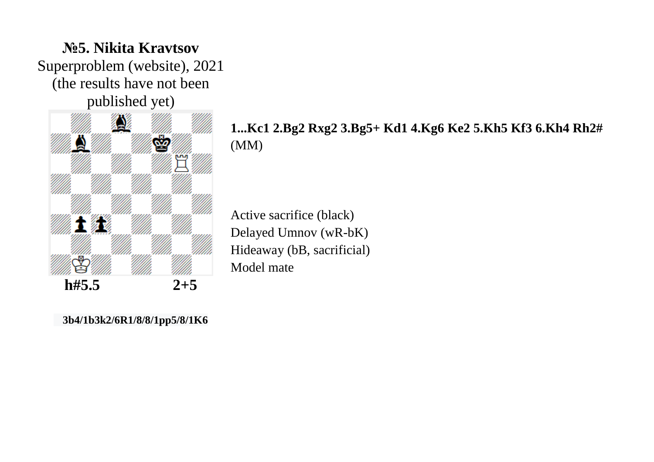

#### **1...Kc1 2.Bg2 Rxg2 3.Bg5+ Kd1 4.Kg6 Ke2 5.Kh5 Kf3 6.Kh4 Rh2#** (MM)

Active sacrifice (black) Delayed Umnov (wR-bK) Hideaway (bB, sacrificial) Model mate

**3b4/1b3k2/6R1/8/8/1pp5/8/1K6**